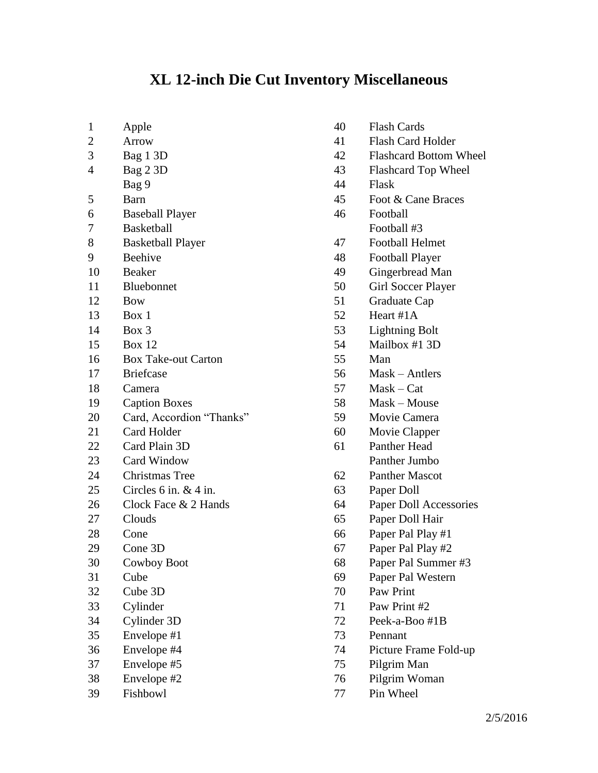## **XL 12-inch Die Cut Inventory Miscellaneous**

- Apple Arrow Bag 1 3D Bag 2 3D Bag 9 Barn Baseball Player Basketball Basketball Player Beehive Beaker Bluebonnet Bow Box 1 Box 3 Box 12 Box Take-out Carton Briefcase Camera Caption Boxes Card, Accordion "Thanks" Card Holder Card Plain 3D Card Window Christmas Tree Circles 6 in. & 4 in. 26 Clock Face & 2 Hands Clouds Cone Cone 3D Cowboy Boot Cube Cube 3D Cylinder Cylinder 3D Envelope #1 Envelope #4 Envelope #5
	- Envelope #2
	- Fishbowl

 Flash Card Holder Flashcard Bottom Wheel Flashcard Top Wheel Flask Foot & Cane Braces Football Football #3 Football Helmet Football Player

Flash Cards

- 
- Gingerbread Man
- Girl Soccer Player
- Graduate Cap
- Heart #1A
- Lightning Bolt
- Mailbox #1 3D
- Man
- Mask Antlers
- Mask Cat
- Mask Mouse
- Movie Camera
- Movie Clapper
- Panther Head Panther Jumbo
- Panther Mascot
- Paper Doll
- Paper Doll Accessories
- Paper Doll Hair
- Paper Pal Play #1
- Paper Pal Play #2
- Paper Pal Summer #3
- Paper Pal Western
- Paw Print
- Paw Print #2
- Peek-a-Boo #1B
- Pennant
- Picture Frame Fold-up
- Pilgrim Man
- Pilgrim Woman
- Pin Wheel